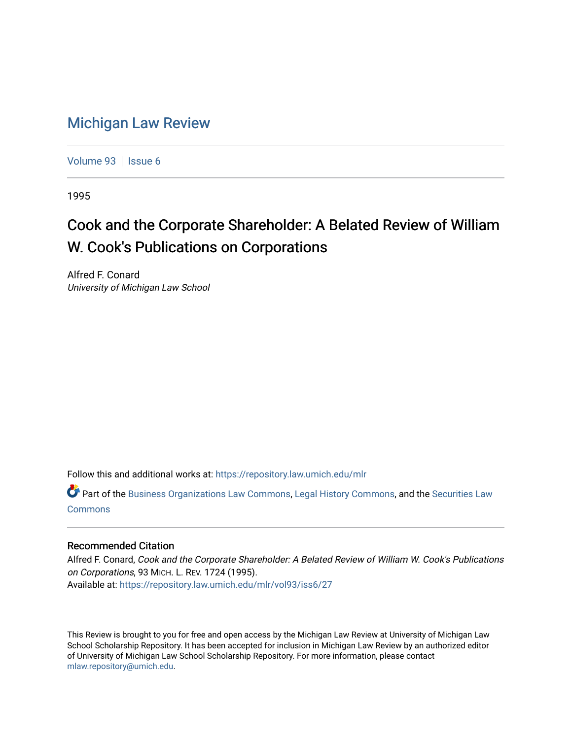# [Michigan Law Review](https://repository.law.umich.edu/mlr)

[Volume 93](https://repository.law.umich.edu/mlr/vol93) | [Issue 6](https://repository.law.umich.edu/mlr/vol93/iss6)

1995

# Cook and the Corporate Shareholder: A Belated Review of William W. Cook's Publications on Corporations

Alfred F. Conard University of Michigan Law School

Follow this and additional works at: [https://repository.law.umich.edu/mlr](https://repository.law.umich.edu/mlr?utm_source=repository.law.umich.edu%2Fmlr%2Fvol93%2Fiss6%2F27&utm_medium=PDF&utm_campaign=PDFCoverPages) 

Part of the [Business Organizations Law Commons](http://network.bepress.com/hgg/discipline/900?utm_source=repository.law.umich.edu%2Fmlr%2Fvol93%2Fiss6%2F27&utm_medium=PDF&utm_campaign=PDFCoverPages), [Legal History Commons,](http://network.bepress.com/hgg/discipline/904?utm_source=repository.law.umich.edu%2Fmlr%2Fvol93%2Fiss6%2F27&utm_medium=PDF&utm_campaign=PDFCoverPages) and the [Securities Law](http://network.bepress.com/hgg/discipline/619?utm_source=repository.law.umich.edu%2Fmlr%2Fvol93%2Fiss6%2F27&utm_medium=PDF&utm_campaign=PDFCoverPages) [Commons](http://network.bepress.com/hgg/discipline/619?utm_source=repository.law.umich.edu%2Fmlr%2Fvol93%2Fiss6%2F27&utm_medium=PDF&utm_campaign=PDFCoverPages)

## Recommended Citation

Alfred F. Conard, Cook and the Corporate Shareholder: A Belated Review of William W. Cook's Publications on Corporations, 93 MICH. L. REV. 1724 (1995). Available at: [https://repository.law.umich.edu/mlr/vol93/iss6/27](https://repository.law.umich.edu/mlr/vol93/iss6/27?utm_source=repository.law.umich.edu%2Fmlr%2Fvol93%2Fiss6%2F27&utm_medium=PDF&utm_campaign=PDFCoverPages) 

This Review is brought to you for free and open access by the Michigan Law Review at University of Michigan Law School Scholarship Repository. It has been accepted for inclusion in Michigan Law Review by an authorized editor of University of Michigan Law School Scholarship Repository. For more information, please contact [mlaw.repository@umich.edu.](mailto:mlaw.repository@umich.edu)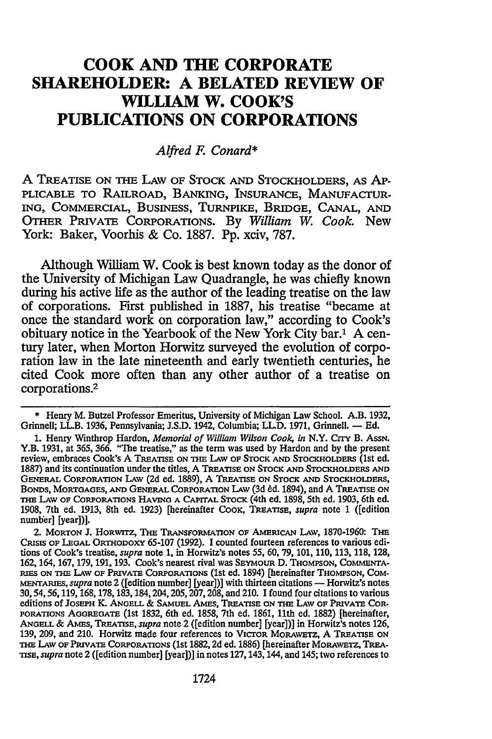# **COOK AND THE CORPORATE SHAREHOLDER: A BELATED REVIEW OF WILLIAM W. COOK'S PUBLICATIONS ON CORPORATIONS**

#### *Alfred* F. *Conard\**

A TREATISE ON THE LAW OF STOCK AND STOCKHOLDERS, AS AP-PLICABLE TO RAILROAD, BANKING, INSURANCE, MANUFACTUR-ING, COMMERCIAL, BUSINESS, TURNPIKE, BRIDGE, CANAL, AND OTHER PRIVATE CORPORATIONS. By *William* W. *Cook.* New York: Baker, Voorhis & Co. 1887. Pp. xciv, 787.

Although William W. Cook is best known today as the donor of the University of Michigan Law Quadrangle, he was chiefly known during his active life as the author of the leading treatise on the law of corporations. First published in 1887, his treatise "became at once the standard work on corporation law," according to Cook's obituary notice in the Yearbook of the New York City bar.1 A century later, when Morton Horwitz surveyed the evolution of corporation law in the late nineteenth and early twentieth centuries, he cited Cook more often than any other author of a treatise on corporations.2

<sup>\*</sup> Henry M. Butzel Professor Emeritus, University of Michigan Law School. A.B. 1932, Grinnell; LL.B. 1936, Pennsylvania; J.S.D. 1942, Columbia; LL.D. 1971, Grinnell. — Ed.

<sup>1.</sup> Henry Wmthrop Hardon, *Memorial of William Wilson Cook, in* N.Y. CITY B. AssN. Y.B. 1931, at 365, 366. "The treatise," as the term was used by Hardon and by the present review, embraces Cook's A TREATISE ON THE LAW OF STOCK AND STOCKHOLDERS (1st ed. 1887) and its continuation under the titles, A TREATISE ON STOCK AND STOCKHOLDERS AND GENERAL CoRPORATION LAw (2d ed. 1889), A TREATISE ON STOCK AND STOCKHOLDERS, THE LAW OF CORPORATIONS HAVING A CAPITAL STOCK (4th ed. 1898, 5th ed. 1903, 6th ed. 1908, 7th ed. 1913, 8th ed. 1923) [hereinafter CooK, TREATISE, *supra* note 1 ([edition numb'er] [year])].

<sup>2.</sup> MORTON J. HORWITZ, THE TRANSFORMATION OF AMERICAN LAW, 1870-1960: THE CRISIS OF LEGAL ORTHODOXY 65-107 (1992). I counted fourteen references to various editions of Cook's treatise, *supra* note 1, in Horwitz's notes *55,* 60, 79, 101, 110, 113, 118, 128, 162, 164, 167, 179, 191, 193. Cook's nearest rival was SEYMOUR D. THOMPSON, COMMENTA-<br>RIES ON THE LAW OF PRIVATE CORPORATIONS (1st ed. 1894) [hereinafter THOMPSON, COM-MENTARIES, *supra* note 2 ([edition number] [year])] with thirteen citations — Horwitz's notes 30, 54, 56, 119, 168, 178, 183, 184, 204, 205, 207, 208, and 210. I found four citations to various editions of JOSEPH K. ANGELL & SAMUEL AMES, TREATISE ON THE LAW OF PRIVATE COR-PORATIONS AGGREGATE (1st 1832, 6th ed. 1858, 7th ed. 1861, 11th ed. 1882) [hereinafter, ANGELL & AMES, TREATISE, *supra* note 2 ([edition number] [year])] in Horwitz's notes 126, 139, 209, and 210. Horwitz made four references to V1croR MoRAWETZ, A TREATISE ON nm LAw OF PRIYATE CoRPORATIONS (1st 1882, 2d ed. 1886) [hereinafter MoRAWETZ, TREA· TISE, *supra* note 2 ([edition number] [year])] in notes 127, 143, 144, and 145; two references to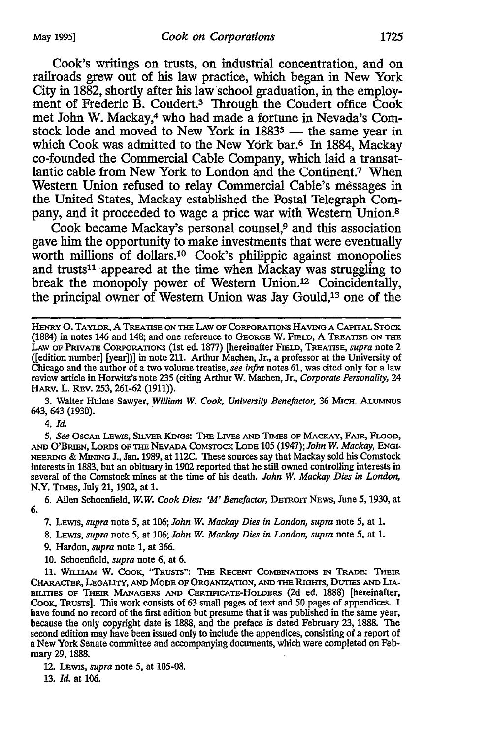Cook's writings on trusts, on industrial concentration, and on railroads grew out of his law practice, which began in New York City in 1882, shortly after his law school graduation, in the employment of Frederic B. Coudert.3 Through the Coudert office Cook met John W. Mackay,4 who had made a fortune in Nevada's Comstock lode and moved to New York in  $1883^5$  - the same year in which Cook was admitted to the New York bar.6 In 1884, Mackay co-founded the Commercial Cable Company, which laid a transatlantic cable from New York to London and the Continent.7 When Western Union refused to relay Commercial Cable's messages in the United States, Mackay established the Postal Telegraph Company, and it proceeded to wage a price war with Western Union.<sup>8</sup>

Cook became Mackay's personal counsel,9 and this association gave him the opportunity to make investments that were eventually worth millions of dollars.<sup>10</sup> Cook's philippic against monopolies and trusts<sup>11</sup> appeared at the time when Mackay was struggling to break the monopoly power of Western Union.12 Coincidentally, the principal owner of Western Union was Jay Gould,13 one of the

HENRY 0. TAYLOR, A TREATISE ON THE LAW OF CoRPORATIONS HAVING A CAPITAL STOCK (1884) in notes 146 and 148; and one reference to GEORGE W. FIELD, A TREATISE ON THE LAw OF PRIVATE CoRPORATIONS (1st ed. 1877) [hereinafter FIELD, TREATISE, *supra* note 2 ([edition number] [year])] in note 211. Arthur Machen, Jr., a professor at the University of Chicago and the author of a two volume treatise, *see infra* notes 61, was cited only for a law review article in Horwitz's note 235 (citing Arthur W. Machen, Jr., *Corporate Personality,* 24 HARV. L. REv. 253, 261-62 (1911)).

3. Walter Hulme Sawyer, *William* W. *Cook, University Benefactor,* 36 MICH. ALUMNUS 643, 643 (1930).

4. *Id.* 

5. *See* OsCAR LEWis, SILVER KlNGs: THE LIVES AND TIMES OF MACKAY, FAIR, FLOOD, AND O'BRIEN, LoRDs OF THE NEVADA CoMSTOCK LoDE 105 (1947); *John* W. *Mackay,* ENGI-NEERING & MINING J., Jan. 1989, at 112C. These sources say that Mackay sold his Comstock interests in 1883, but an obituary in 1902 reported that he still owned controlling interests in several of the Comstock mines at the time of his death. *John* W. *Mackay Dies in London,*  N.Y. TIMES, July 21, 1902, at 1.

6. Allen Schoenfield, W.W. *Cook Dies: 'M' Benefactor,* DETROIT NEWS, June 5, 1930, at 6.

7. LEWIS, *supra* note 5, at 106; *John* W. *Mackay Dies in London, supra* note 5, at 1.

8. LEWIS, *supra* note 5, at 106; *John* W. *Mackay Dies in London, supra* note 5, at 1.

9. Hardon, *supra* note 1, at 366.

10. Schoenfield, *supra* note 6, at 6.

11. WILUAM W. CooK, "TRUSTS": THE RECENT CoMBINATIONs IN TRADE: THEIR CHARACI'ER, LEGAUIY, AND MODE OF ORGANIZATION, AND THE RIGHTS, DUTIES AND LIA- BIUTIES OF THEIR MANAGERS AND CERTIFICATE-HOLDERS (2d ed. 1888) [hereinafter, Cook, Trusts]. This work consists of 63 small pages of text and 50 pages of appendices. I have found no record of the first edition but presume that it was published in the same year, because the only copyright date is 1888, and the preface is dated February 23, 1888. The second edition may have been issued only to include the appendices, consisting of a report of a New York Senate committee and accompanying documents, which were completed on February 29, 1888.

12. LEWIS, *supra* note 5, at 105-08.

13. *Id.* at 106.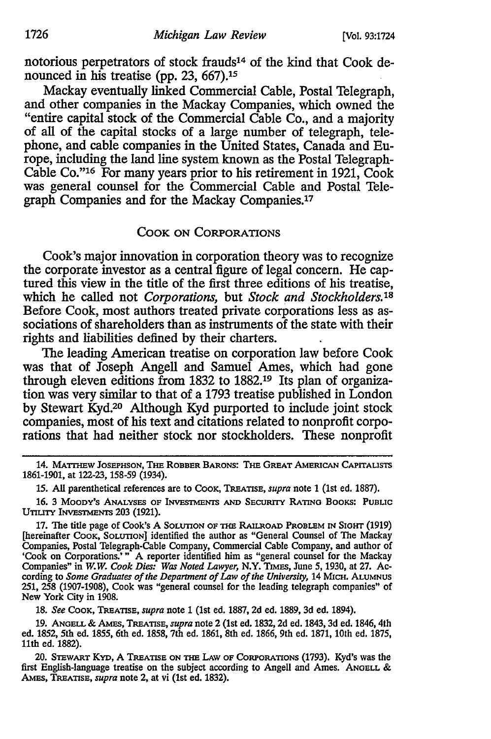notorious perpetrators of stock frauds14 of the kind that Cook denounced in his treatise (pp. 23, 667).<sup>15</sup>

Mackay eventually linked Commercial Cable, Postal Telegraph, and other companies in the Mackay Companies, which owned the "entire capital stock of the Commercial Cable Co., and a majority of all of the capital stocks of a large number of telegraph, telephone, and cable companies in the United States, Canada and Europe, including the land line system known as the Postal Telegraph-Cable Co."<sup>16</sup> For many years prior to his retirement in 1921, Cook was general counsel for the Commercial Cable and Postal Telegraph Companies and for the Mackay Companies.17

#### COOK ON CORPORATIONS

Cook's major innovation in corporation theory was to recognize the corporate investor as a central figure of legal concern. He captured this view in the title of the first three editions of his treatise, which he called not *Corporations,* but *Stock and Stockholders.* <sup>18</sup> Before Cook, most authors treated private corporations less as associations of shareholders than as instruments of the state with their rights and liabilities defined by their charters.

The leading American treatise on corporation law before Cook was that of Joseph Angell and Samuel Ames, which had gone through eleven editions from 1832 to 1882.19 Its plan of organization was very similar to that of a 1793 treatise published in London by Stewart Kyd.20 Although Kyd purported to include joint stock companies, most of his text and citations related to nonprofit corporations that had neither stock nor stockholders. These nonprofit

16. 3 MOODY'S ANALYSES OF INVESTMENTS AND SECURITY RATING BooKS: PUBLIC UTILITY INVESTMENTS 203 (1921).

17. The title page of Cook's A SOLUTION OF THE RAILROAD PROBLEM IN SIGHT (1919) [hereinafter Cook, Solutrow] identified the author as "General Counsel of The Mackay Companies, Postal Telegraph-Cable Company, Commercial Cable Company, and author of 'Cook on Corporations.' " A reporter identified him as "general counsel for the Mackay Companies" in *W.W. Cook Dies: Was Noted Lawyer,* N.Y. TIMES, June *5,* 1930, at 27. According to *Some Graduates of the Department of Law of the University,* 14 MICH. ALUMNUS 251, 258 (1907-1908), Cook was "general counsel for the leading telegraph companies" of New York City in 1908.

18. *See* CooK, TREATISE, *supra* note 1 (1st ed. 1887, 2d ed. 1889, 3d ed. 1894).

19. ANGELL & AMES, TREATISE, *supra* note 2 (1st ed. 1832, 2d ed. 1843, 3d ed. 1846, 4th ed. 1852, 5th ed. 1855, 6th ed. 1858, 7th ed. 1861, 8th ed. 1866, 9th ed. 1871, 10th ed. 1875, 11th ed. 1882).

20. STEWART KYD, A TREATISE ON THE LAW OF CoRPORATIONS (1793). Kyd's was the first English-language treatise on the subject according to Angell and Ames. ANGELL & AMES, TREATISE, *supra* note 2, at vi (1st ed. 1832).

<sup>14.</sup> MATTHEW JOSEPHSON, THE ROBBER BARONS: THE GREAT AMERICAN CAPITALISTS 1861-1901, at 122-23, 158-59 (1934).

<sup>15.</sup> All parenthetical references are to CooK, TREATISE, *supra* note 1 (1st ed. 1887).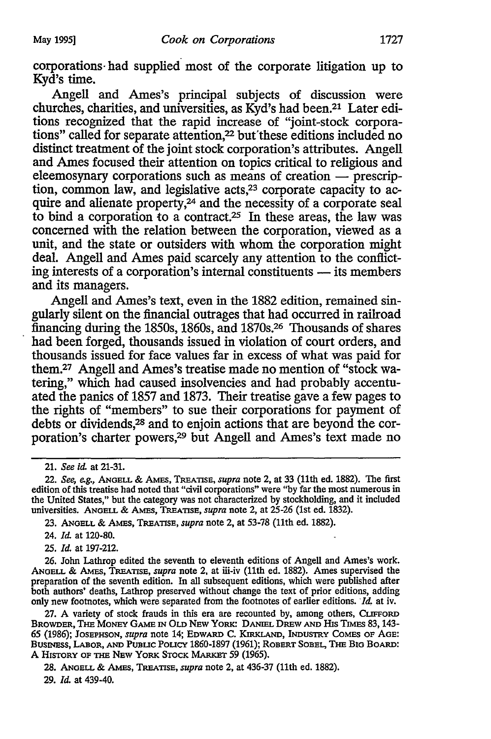corporations· had supplied most of the corporate litigation up to Kyd's time.

Angell and Ames's principal subjects of discussion were churches, charities, and universities, as Kyd?s had been.21 Later editions recognized that the rapid increase of "joint-stock corporations" called for separate attention,<sup>22</sup> but these editions included no distinct treatment of the joint stock corporation's attributes. Angell and Ames focused their attention on topics critical to religious and  $eleemosynary$  corporations such as means of creation  $-$  prescription, common law, and legislative acts,<sup>23</sup> corporate capacity to acquire and alienate property,<sup>24</sup> and the necessity of a corporate seal to bind a corporation to a contract.25 In these areas, the law was concerned with the relation between the corporation, viewed as a unit, and the state or outsiders with whom the corporation might deal. Angell and Ames paid scarcely any attention to the conflicting interests of a corporation's internal constituents — its members and its managers.

Angell and Ames's text, even in the 1882 edition, remained singularly silent on the financial outrages that had occurred in railroad financing during the 1850s, 1860s, and 1870s.<sup>26</sup> Thousands of shares had been forged, thousands issued in violation of court orders, and thousands issued for face values far in excess of what was paid for them.27 Angell and Ames's treatise made no mention of "stock watering," which had caused insolvencies and had probably accentuated the panics of 1857 and 1873. Their treatise gave a few pages to the rights of "members" to sue their corporations for payment of debts or dividends,28 and to enjoin actions that are beyond the corporation's charter powers,29 but Angell and Ames's text made no

24. *Id.* at 120-80.

25. *Id.* at 197-212.

26. John Lathrop edited the seventh to eleventh editions of Angell and Ames's work. ANGELL & AMEs, TREATISE, *supra* note 2, at iii-iv (11th ed. 1882). Ames supervised the preparation of the seventh edition. In all subsequent editions, which were published after both authors' deaths, Lathrop preserved without change the text of prior editions, adding only new footnotes, which were separated from the footnotes of earlier editions. *'Id,* at iv.

27. A variety of stock frauds in this era are recounted by, among others, CLIFFORD BROWDER, THE MONEY GAME IN OLD NEW YORK: DANIEL DREW AND HIS TIMES 83, 143-65 (1986); JOSEPHSON, *supra* note 14; EDWARD C. KIRKLAND, INDUSTRY COMES OF AGE: BUSINESS, LABOR, AND PUBLIC POLICY 1860-1897 (1961); ROBERT SOBEL, THE BIG BOARD: A HISTORY OF THE NEW YORK STOCK MARKET 59 (1965).

28. ANGELL & AMEs, TREATISE, *supra* note 2, at 436-37 (11th ed. 1882).

29. *Id.* at 439-40.

<sup>21.</sup> *See id.* at 21-31.

<sup>22.</sup> *See, e.g.,* ANGELL & AMEs, TREATISE, *supra* note 2, at 33 (11th ed. 1882). The first edition of this treatise had noted that "civil corporations" were "by far the most numerous in the United States," but the category was not characterized by stockholding, and it included universities. ANGELL & AMES, TREATISE, *supra* note 2, at 25-26 (1st ed. 1832).

<sup>23.</sup> ANGELL & AMES, TREATISE, *supra* note 2, at 53-78 (11th ed. 1882).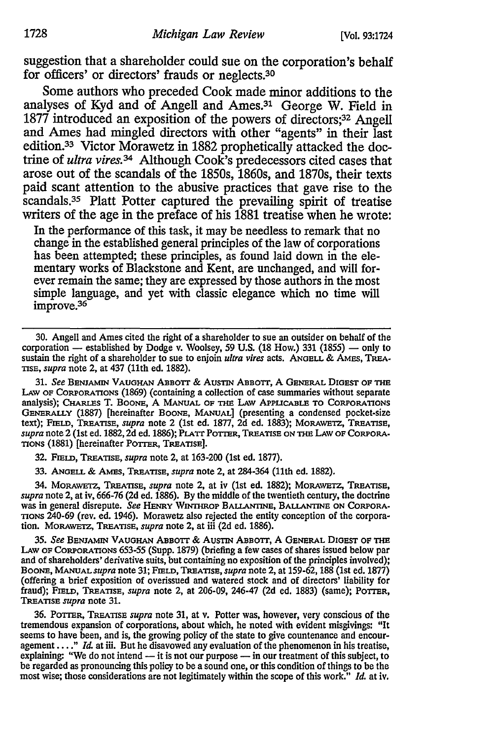suggestion that a shareholder could sue on the corporation's behalf for officers' or directors' frauds or neglects.3o

Some authors who preceded Cook made minor additions to the analyses of Kyd and of Angell and Ames.31 George W. Field in 1877 introduced an exposition of the powers of directors;<sup>32</sup> Angell and Ames had mingled directors with other "agents" in their last edition.33 Victor Morawetz in 1882 prophetically attacked the doctrine of *ultra vires.* 34 Although Cook's predecessors cited cases that arose out of the scandals of the 1850s, 1860s, and 1870s, their texts paid scant attention to the abusive practices that gave rise to the scandals.<sup>35</sup> Platt Potter captured the prevailing spirit of treatise writers of the age in the preface of his 1881 treatise when he wrote:

In the performance of this task, it may be needless to remark that no change in the established general principles of the law of corporations has been attempted; these principles, as found laid down in the elementary works of Blackstone and Kent, are unchanged, and will forever remain the same; they are expressed by those authors in the most simple language, and yet with classic elegance which no time will improve.36

30. Angell and Ames cited the right of a shareholder to sue an outsider on behalf of the corporation  $-$  established by Dodge v. Woolsey, 59 U.S. (18 How.) 331 (1855)  $-$  only to sustain the right of a shareholder to sue to enjoin *ultra vires* acts. ANGELL & AMES, TREA-TISE, *supra* note 2, at 437 {11th ed. 1882).

31. *See* BENJAMIN VAUGHAN ABBOTI & AuSTIN ABBOTI, A GENERAL DIGEST OF THE LAw OF CORPORATIONS (1869) (containing a collection of case summaries without separate analysis); CHARLES T. BOONE, A MANUAL OF THE LAw APPLICABLE TO CORPORATIONS GENERALLY (1887) [hereinafter BOONE, MANuAL] (presenting a condensed pocket-size text); FIELD, TREATISE, *supra* note 2 (1st ed. 1877, 2d ed. 1883); MORAWETZ, TREATISE, *supra* note 2 {1st ed. 1882, 2d ed. 1886); PLATI POTTER, TREATISE ON THE LAW OF CORPORA· TIONS {1881) [hereinafter POTTER, TREATISE].

32. FIELD, TREATISE, *supra* note 2, at 163-200 (1st ed. 1877).

33. ANGELL & AMES, TREATISE, *supra* note 2, at 284-364 (11th ed. 1882).

34. MORAWETZ, TREATISE, *supra* note 2, at iv {1st ed. 1882); MoRAWETZ, TREATISE, *supra* note 2, at iv, 666-76 (2d ed. 1886). By the middle of the twentieth century, the doctrine was in general disrepute. *See* HENRY WIN'IHRoP BALLANTINE, BALLANTINE ON CORPORA· TIONS 240-69 (rev. ed. 1946). Morawetz also rejected the entity conception of the corpora· tion. MoRAWETZ, TREATISE, *supra* note 2, at iii (2d ed. 1886).

35. *See* BENJAMIN VAUGHAN ABBorr & AuSTIN ABsorr, A GENERAL DIGEST OF THE LAw OF CORPORATIONS 653-55 (Supp. 1879} {briefing a few cases of shares issued below par and of shareholders' derivative suits, but containing no exposition of the principles involved); BooNE, MANuAL *supra* note 31; FIELD, TREATISE, *supra* note 2, at 159-62, 188 {1st ed. 1877) (offering a brief exposition of overissued and watered stock and of directors' liability for fraud); FIELD, TREATISE, *supra* note 2, at 206-09, 246-47 (2d ed. 1883} (same); POTTER, TREATISE *supra* note 31.

36. POTTER, TREATISE *supra* note 31, at v. Potter was, however, very conscious of the tremendous expansion of corporations, about which, he noted with evident misgivings: "It seems to have been, and is, the growing policy of the state to give countenance and encouragement .... " *Id.* at iii. But he disavowed any evaluation of the phenomenon in his treatise, explaining: "We do not intend - it is not our purpose - in our treatment of this subject, to be regarded as pronouncing this policy to be a sound one, or this condition of things to be the most wise; those considerations are not legitimately within the scope of this work." *Id.* at iv.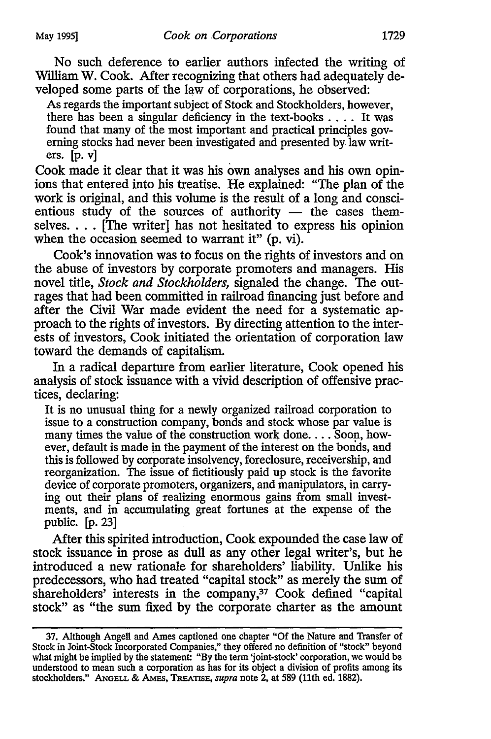No such deference to earlier authors infected the writing of William W. Cook. After recognizing that others had adequately developed some parts of the law of corporations, he observed:

As regards the important subject of Stock and Stockholders, however, there has been a singular deficiency in the text-books  $\dots$ . It was found that many of the most important and practical principles governing stocks had never been investigated and presented by law writers. [p. v]

Cook made it clear that it was his own analyses and his own opinions that entered into his treatise. He explained: "The plan of the work is original, and this volume is the result of a long and conscientious study of the sources of authority  $-$  the cases themselves.... [The writer] has not hesitated to express his opinion when the occasion seemed to warrant it" (p. vi).

Cook's innovation was to focus on the rights of investors and on the abuse of investors by corporate promoters and managers. His novel title, *Stock and Stockholders,* signaled the change. The outrages that had been committed in railroad financing just before and after the Civil War made evident the need for a systematic approach to the rights of investors. By directing attention to the interests of investors, Cook initiated the orientation of corporation law toward the demands of capitalism.

In a radical departure from earlier literature, Cook opened his analysis of stock issuance with a vivid description of offensive practices, declaring:

It is no unusual thing for a newly organized railroad corporation to issue to a construction company, bonds and stock whose par value is many times the value of the construction work done... Soon, however, default is made in the payment of the interest on the bonds, and this is followed by corporate insolvency, foreclosure, receivership, and reorganization. The issue of fictitiously paid up stock is the favorite device of corporate promoters, organizers, and manipulators, in carrying out their plans of realizing enormous gains from small investments, and in accumulating great fortunes at the expense of the public. [p. 23]

After this spirited introduction, Cook expounded the case law of stock issuance in prose as dull as any other legal writer's, but he introduced a new rationale for shareholders' liability. Unlike his predecessors, who had treated "capital stock" as merely the sum of shareholders' interests in the company,<sup>37</sup> Cook defined "capital stock" as "the sum fixed by the corporate charter as the amount

<sup>37.</sup> Although Angell and Ames captioned one chapter "Of the Nature and Transfer of Stock in Joint-Stock Incorporated Companies," they offered no definition of "stock" beyond what might be implied by the statement: "By the term 'joint-stock' corporation, we would be understood to mean such a corporation as has for its object a division of profits among its stockholders." ANGELL & AMES, TREATISE, *supra* note 2, at 589 (11th ed. 1882).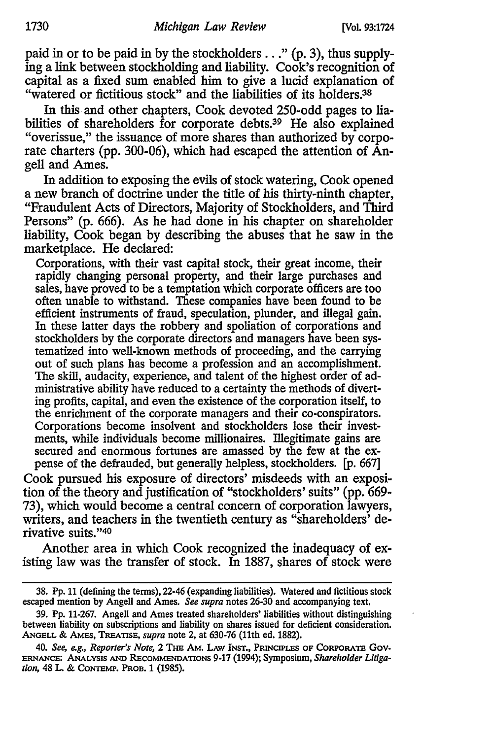paid in or to be paid in by the stockholders ... " (p. 3), thus supplying a link between stockholding and liability. Cook's recognition of capital as a fixed sum enabled him to give a lucid explanation of "watered or fictitious stock" and the liabilities of its holders.<sup>38</sup>

In this and other chapters, Cook devoted 250-odd pages to liabilities of shareholders for corporate debts.<sup>39</sup> He also explained "overissue," the issuance of more shares than authorized by corporate charters (pp. 300-06), which had escaped the attention of Angell and Ames.

In addition to exposing the evils of stock watering, Cook opened a new branch of doctrine under the title of his thirty-ninth chapter, "Fraudulent Acts of Directors, Majority of Stockholders, and Third Persons" (p. 666). As he had done in his chapter on shareholder liability, Cook began by describing the abuses that he saw in the marketplace. He declared:

Corporations, with their vast capital stock, their great income, their rapidly changing personal property, and their large purchases and sales, have proved to be a temptation which corporate officers are too often unable to withstand. These companies have been found to be efficient instruments of fraud, speculation, plunder, and illegal gain. In these latter days the robbery and spoliation of corporations and stockholders by the corporate directors and managers have been systematized into well-known methods of proceeding, and the carrying out of such plans has become a profession and an accomplishment. The skill, audacity, experience, and talent of the highest order of administrative ability have reduced to a certainty the methods of diverting profits, capital, and even the existence of the corporation itself, to the enrichment of the corporate managers and their co-conspirators. Corporations become insolvent and stockholders lose their investments, while individuals become millionaires. Illegitimate gains are secured and enormous fortunes are amassed by the few at the expense of the defrauded, but generally helpless, stockholders. [p. 667]

Cook pursued his exposure of directors' misdeeds with an exposition of the theory and justification of "stockholders' suits" (pp. 669- 73), which would become a central concern of corporation lawyers, writers, and teachers in the twentieth century as "shareholders' derivative suits."<sup>40</sup>

Another area in which Cook recognized the inadequacy of existing law was the transfer of stock. In 1887, shares of stock were

<sup>38.</sup> Pp. 11 (defining the terms}, 22·46 (expanding liabilities). Watered and fictitious stock escaped mention by Angell and Ames. *See supra* notes 26-30 and accompanying text.

<sup>39.</sup> Pp. 11-267. Angell and Ames treated shareholders' liabilities without distinguishing between liability on subscriptions and liability on shares issued for deficient consideration. ANGELL & AMES, TREATISE, *supra* note 2, at 630-76 (11th ed. 1882).

<sup>40.</sup> *See, e.g., Reporter's Note,* 2 THE AM. LAW INST., PRINCIPLES OF CORPORATE Gov-ERNANCE: ANALYSIS AND RECOMMENDATIONS 9-17 (1994); Symposium, *Shareholder Litigation,* 48 L. & CoNIEMP. PRoB. 1 (1985).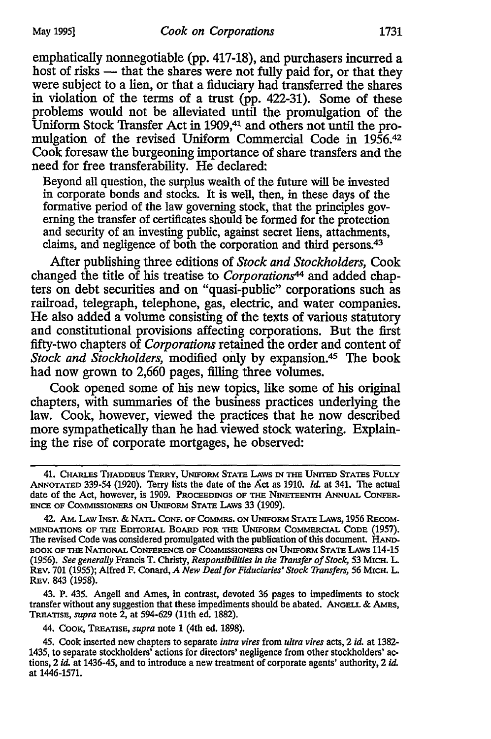emphatically nonnegotiable (pp. 417-18), and purchasers incurred a host of risks — that the shares were not fully paid for, or that they were subject to a lien, or that a fiduciary had transferred the shares in violation of the terms of a trust (pp. 422-31). Some of these problems would not be alleviated until the promulgation of the Uniform Stock Transfer Act in 1909,<sup>41</sup> and others not until the promulgation of the revised Uniform Commercial Code in 1956.42 Cook foresaw the burgeoning importance of share transfers and the need for free transferability. He declared:

Beyond all question, the surplus wealth of the future will be invested in corporate bonds and stocks. It is well, then, in these days of the formative period of the law governing stock, that the principles governing the transfer of certificates should be formed for the protection and security of an investing public, against secret liens, attachments, claims, and negligence of both the corporation and third persons.43

After publishing three editions of *Stock and Stockholders,* Cook changed the title of his treatise to *Corporations44* and added chapters on debt securities and on "quasi-public" corporations such as railroad, telegraph, telephone, gas, electric, and water companies. He also added a volume consisting of the texts of various statutory and constitutional provisions affecting corporations. But the first fifty-two chapters of *Corporations* retained the order and content of *Stock and Stockholders,* modified only by expansion.45 The book had now grown to 2,660 pages, filling three volumes.

Cook opened some of his new topics, like some of his original chapters, with summaries of the business practices underlying the law. Cook, however, viewed the practices that he now described more sympathetically than he had. viewed stock watering. Explaining the rise of corporate mortgages, he observed:

43. P. 435. Angell and Ames, in contrast, devoted 36 pages to impediments to stock transfer without any suggestion that these impediments should be abated. ANGELL & AMES, TREATISE, *supra* note 2, at 594-629 (11th ed. 1882).

44. CooK, TREATISE, *supra* note 1 (4th ed. 1898).

45. Cook inserted new chapters to separate *intra vires* from *ultra vires* acts, 2 *id.* at 1382- 1435, to separate stockholders' actions for directors' negligence from other stockholders' actions, 2 *id.* at 1436-45, and to introduce a new treatment of corporate agents' authority, 2 *id.*  at 1446-1571.

<sup>41.</sup> CHARLES THADDEUS TERRY, UNIFORM STATE LAWS IN THE UNITED STATES FULLY ANNOTATED 339-54 (1920). Terry lists the date of the Act as 1910. *Id.* at 341. The actual date of the Act, however, is 1909. PROCEEDINGS OF THE NINETEENIH ANNUAL CoNFER-ENCE OF COMMISSIONERS ON UNIFORM STATE LAWS 33 (1909).

<sup>42.</sup> AM. LAW INST. & NATL. CONF. OF COMMRS. ON UNIFORM STATE LAWS, 1956 RECOM-MENDATIONS OF THE EDITORIAL BOARD FOR THE UNIFORM COMMERCIAL CoDE (1957). The revised Code was considered promulgated with the publication of this document. HAND-BOOK OF THE NATIONAL CoNFERENCE OF COMMISSIONERS ON UNIFORM STATE LAws 114-15 (1956). *See generally* Francis T. Christy, *Responsibilities in the Transfer of Stock,* 53 MICH. L. REv. 701 (1955); Alfred F. Conard, *A New Deal for Fiduciaries' Stock Transfers,* 56 MICH. L. REv. 843 (1958).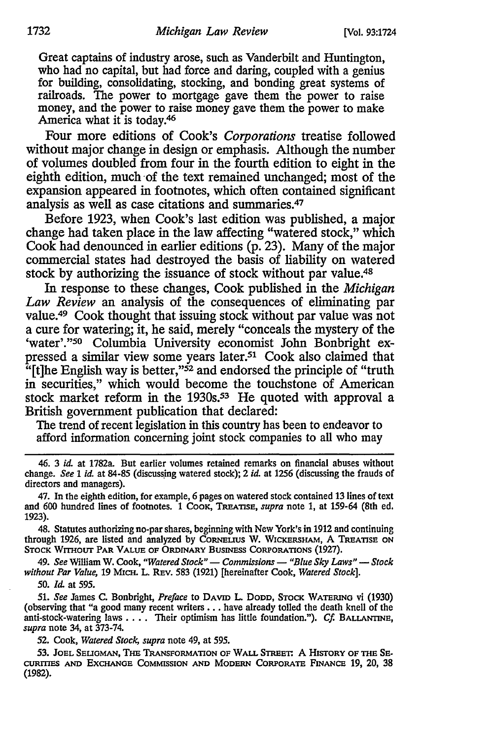Great captains of industry arose, such as Vanderbilt and Huntington, who had no capital, but had force and daring, coupled with a genius for building, consolidating, stocking, and bonding great systems of railroads. The power to mortgage gave them the power to raise money, and the power to raise money gave them the power to make America what it is today.46

Four more editions of Cook's *Corporations* treatise followed without major change in design or emphasis. Although the number of volumes doubled from four in the fourth edition to eight in the eighth edition, much ·of the text remained unchanged; most of the expansion appeared in footnotes, which often contained significant analysis as well as case citations and summaries.47

Before 1923, when Cook's last edition was published, a major change had taken place in the law affecting "watered stock," which Cook had denounced in earlier editions (p. 23). Many of the major commercial states had destroyed the basis of liability on watered stock by authorizing the issuance of stock without par value.48

In response to these changes, Cook published in the *Michigan*  Law Review an analysis of the consequences of eliminating par value.<sup>49</sup> Cook thought that issuing stock without par value was not a cure for watering; it, he said, merely "conceals the mystery of the 'water'."50 Columbia University economist John Bonbright expressed a similar view some years later.<sup>51</sup> Cook also claimed that "[t]he English way is better,"<sup>52</sup> and endorsed the principle of "truth" in securities," which would become the touchstone of American stock market reform in the 1930s.53 He quoted with approval a British government publication that declared:

The trend of recent legislation in this country has been to endeavor to afford information concerning joint stock companies to all who may

48. Statutes authorizing no-par shares, beginning with New York's in 1912 and continuing through 1926, are listed and analyzed by CORNEUUS w. WICKERSHAM, A TREATISE ON STOCK WITHOUT PAR VALUE OF ORDINARY BUSINESS CORPORATIONS (1927).

49. See William W. Cook, "Watered Stock" - Commissions - "Blue Sky Laws" - Stock *without Par Value,* 19 MICH. L. REv. 583 (1921) [hereinafter Cook, *Watered Stock].* 

50. *Id.* at 595.

51. *See* James C. Bonbright, *Preface* to DAVID L. DODD, STOCK WATERING vi (1930) (observing that "a good many recent writers •.• have already tolled the death knell of the anti-stock-watering laws . . . . Their optimism has little foundation."). *Cf.* BALLANTINE, *supra* note 34, at 373-74.

52. Cook, *Watered Stock, supra* note 49, at 595.

53. JOEL SELIGMAN, THE TRANSFORMATION OF WALL STREET: A HISTORY OF THE SE-CURITIES AND EXCHANGE CoMMISSION AND MODERN CORPORATE FINANCE 19, 20, 38 (1982).

<sup>46. 3</sup> *id.* at 1782a. But earlier volumes retained remarks on financial abuses without change. *See* 1 *id.* at 84-85 (discuss\_ing watered stock); 2 *id.* at 1256 (discussing the frauds of directors and managers).

<sup>47.</sup> In the eighth edition, for example, 6 pages on watered stock contained 13 lines of text and 600 hundred lines of footnotes. 1 Cook, TREATISE, *supra* note 1, at 159-64 (8th ed. 1923).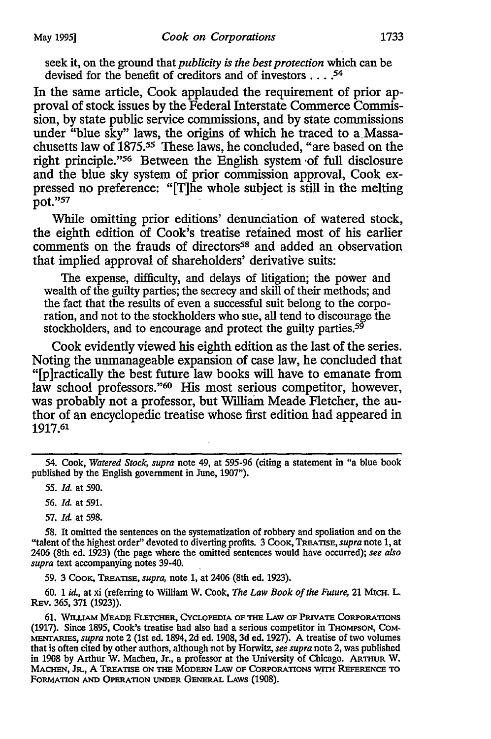seek it, on the ground that *publicity* is *the best protection* which can be devised for the benefit of creditors and of investors .... 54

In the same article, Cook applauded the requirement of prior approval of stock issues by the Federal Interstate Commerce Commission, by state public service commissions, and by state commissions under "blue sky" laws, the origins of which he traced to a Massachusetts law of 1875.55 These laws, he concluded, "are based on the right principle."56 Between the English system ·of full disclosure and the blue sky system of prior commission approval, Cook expressed no preference: "[T]he whole subject is still in the melting pot."57

While omitting prior editions' denunciation of watered stock, the eighth edition of Cook's treatise retained most of his earlier comments on the frauds of directors<sup>58</sup> and added an observation that implied approval of shareholders' derivative suits:

The expense, difficulty, and delays of litigation; the power and wealth of the guilty parties; the secrecy and skill of their methods; and the fact that the results of even a successful suit belong to the corporation, and not to the stockholders who sue, all tend to discourage the stockholders, and to encourage and protect the guilty parties.<sup>59</sup>

Cook evidently viewed his eighth edition as the last of the series. Noting the unmanageable expansion of case law, he concluded that "[p]ractically the best future law books will have to emanate from law school professors."<sup>60</sup> His most serious competitor, however, was probably not a professor, but William Meade Fletcher, the author of an encyclopedic treatise whose first edition had appeared in 1917.61

55. *Id.* at 590.

56. *Id.* at 591.

57. *Id.* at 598.

58. It omitted the sentences on the systematization of robbery and spoliation and on the "talent of the highest order" devoted to diverting profits. 3 CooK, TREATISE, *supra* note 1, at 2406 (8th ed. 1923) (the page where the omitted sentences would have occurred); *see also supra* text accompanying notes 39-40.

59. 3 CooK, TREATISE, *supra,* note l, at 2406 (8th ed. 1923).

60. 1 id., at xi (referring to William W. Cook, *The Law Book of the Future,* 21 MICH. L. REv. 365, 371 (1923)).

61. WILUAM MEADE FLETCHER, CYCLOPEDIA OF 'IHE LAW OF PruvATE CoRPORATIONS (1917). Since 1895, Cook's treatise had also had a serious competitor in THOMPSON, COM-MENTARIES, *supra* note 2 (1st ed. 1894, 2d ed. 1908, 3d ed. 1927). A treatise of two volumes that is often cited by other authors, although not by Horwitz, *see supra* note 2, was published in 1908 by Arthur W. Machen, Jr., a professor at the University of Chicago. ARTHUR W. MACHEN, JR., A TREATISE ON THE MODERN LAW OF CORPORATIONS WITH REFERENCE TO FORMATION AND OPERATION UNDER GENERAL LAWS (1908).

<sup>54.</sup> Cook, *Watered Stock, supra* note 49, at 595-96 (citing a statement in "a blue book published by the English government in June, 1907").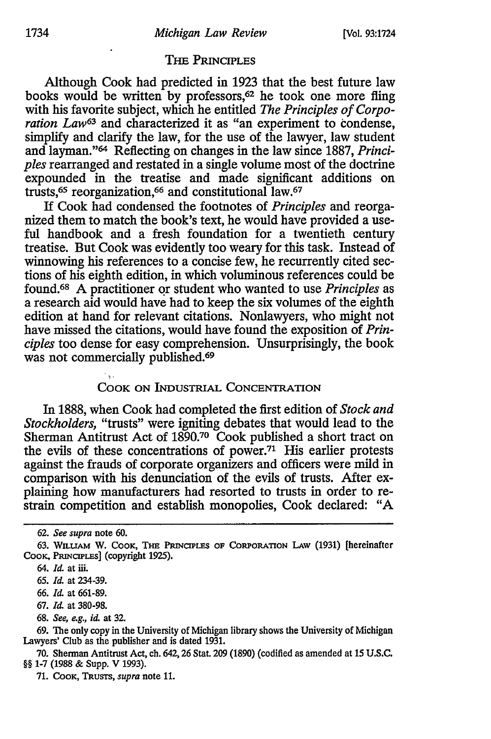### THE PRINCIPLES

Although Cook had predicted in 1923 that the best future law books would be written by professors,<sup>62</sup> he took one more fling with his favorite subject, which he entitled *The Principles of Corporation Law*63 and characterized it as "an experiment to condense, simplify and clarify the law, for the use of the lawyer, law student and layman."64 Reflecting on changes in the law since 1887, *Principles* rearranged and restated in a single volume most of the doctrine expounded in the treatise and made significant additions on trusts,<sup>65</sup> reorganization,<sup>66</sup> and constitutional law.<sup>67</sup>

If Cook had condensed the footnotes of *Principles* and reorganized them to match the book's text, he would have provided a useful handbook and a fresh foundation for a twentieth century treatise. But Cook was evidently too weary for this task. Instead of winnowing his references to a concise few, he recurrently cited sections of his eighth edition, in which voluminous references could be found.68 A practitioner qr student who wanted to use *Principles* as a research aid would have had to keep the six volumes of the eighth edition at hand for relevant citations. Nonlawyers, who might not have missed the citations, would have found the exposition of *Principles* too dense for easy comprehension. Unsurprisingly, the book was not commercially published.<sup>69</sup>

## COOK ON INDUSTRIAL CONCENTRATION

In 1888, when Cook had completed the first edition of *Stock and Stockholders,* "trusts" were igniting debates that would lead to the Sherman Antitrust Act of 1890.7° Cook published a short tract on the evils of these concentrations of power.71 His earlier protests against the frauds of corporate organizers and officers were mild in comparison with his denunciation of the evils of trusts. After explaining how manufacturers had resorted to trusts in order to restrain competition and establish monopolies, Cook declared: "A

<sup>62.</sup> *See supra* note 60.

<sup>63.</sup> WILUAM w. COOK, THE PRINCIPLES OF CoRPORATION LAW (1931) [hereinafter CooK, PRINCIPLES] (copyright 1925).

<sup>64.</sup> *Id.* at iii.

<sup>65.</sup> *Id.* at 234-39.

<sup>66.</sup> *Id.* at 661-89.

<sup>67.</sup> *Id.* at 380-98.

<sup>68.</sup> *See, e.g., id.* at 32.

<sup>69.</sup> The only copy in the University of Michigan library shows the University of Michigan Lawyers' Club as the publisher and is dated 1931.

<sup>70.</sup> Sherman Antitrust Act, ch. 642, 26 Stat 209 (1890) (codified as amended at 15 U.S.C. §§ 1-7 (1988 & Supp. V 1993).

<sup>71.</sup> CooK, TRUSTS, *supra* note 11.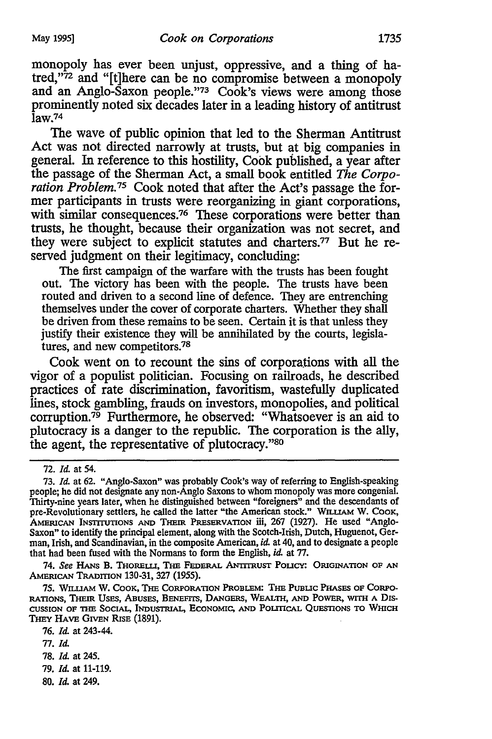monopoly has ever been unjust, oppressive, and a thing of hatred,"72 and "[t]here can be no compromise between a monopoly and an Anglo-Saxon people. "73 Cook's views were among those prominently noted six decades later in a leading history of antitrust  $\overline{l}$ aw.<sup>74</sup>

The wave of public opinion that led to the Sherman Antitrust Act was not directed narrowly at trusts, but at big companies in general. In reference to this hostility, Cook published, a year after the passage of the Sherman Act, a small book entitled *The Corporation Problem. 15* Cook noted that after the Act's passage the former participants in trusts were reorganizing in giant corporations, with similar consequences.<sup>76</sup> These corporations were better than trusts, he thought, because their organization was not secret, and they were subject to explicit statutes and charters.77 But he reserved judgment on their legitimacy, concluding:

The first campaign of the warfare with the trusts has been fought out. The victory has been with the people. The trusts have been routed and driven to a second line of defence. They are entrenching themselves under the cover of corporate charters. Whether they shall be driven from these remains to be seen. Certain it is that unless they justify their existence they will be annihilated by the courts, legislatures, and new competitors.78

Cook went on to recount the sins of corporations with all the vigor of a populist politician. Focusing on railroads, he described practices of rate discrimination, favoritism, wastefully duplicated lines, stock gambling, frauds on investors, monopolies, and political corruption.79 Furthermore, he observed: "Whatsoever is an aid to plutocracy is a danger to the republic. The corporation is the ally, the agent, the representative of plutocracy."80

74. See HANS B. THORELLI, THE FEDERAL ANTITRUST POLICY: ORIGINATION OF AN AMERICAN TRADITION 130-31, 327 (1955).

78. *Id.* at 245.

80. *Id.* at 249.

<sup>72.</sup> *Id.* at 54.

<sup>73.</sup> *Id.* at 62. "Anglo·Saxon" was probably Cook's way of referring to English·speaking people; he did not designate any non· Anglo Saxons to whom monopoly was more congenial. Thirty.nine years later, when he distinguished between "foreigners" and the descendants of pre-Revolutionary settlers, he called the latter "the American stock." WILLIAM W. COOK, AMERICAN INsrrrunoNs AND THEIR PREsERVATION iii, 267 (1927). He used "Anglo-Saxon" to identify the principal element, along with the Scotch-Irish, Dutch, Huguenot, German, Irish, and Scandinavian, in the composite American, *id.* at 40, and to designate a people that had been fused with the Normans to form the English, *id.* at 77.

<sup>75.</sup> Wiu.IAM W. CoOK, THE CORPORATION PROBLEM! THE PUBUC PHAsES OF CoRPO-RATIONS, THEIR USES, ABUSES, BENEFITS, DANGERS, WEALTII, AND POWER, WITH A DIS-CUSSION OF 1HE SOCIAL, INDUSTRIAL, ECONOMIC, AND POUTICAL QUESTIONS TO WmcH THEY HAVE GIVEN RISE (1891).

<sup>76.</sup> *Id.* at 243-44.

<sup>77.</sup> *Id.* 

<sup>79.</sup> *Id.* at 11-119.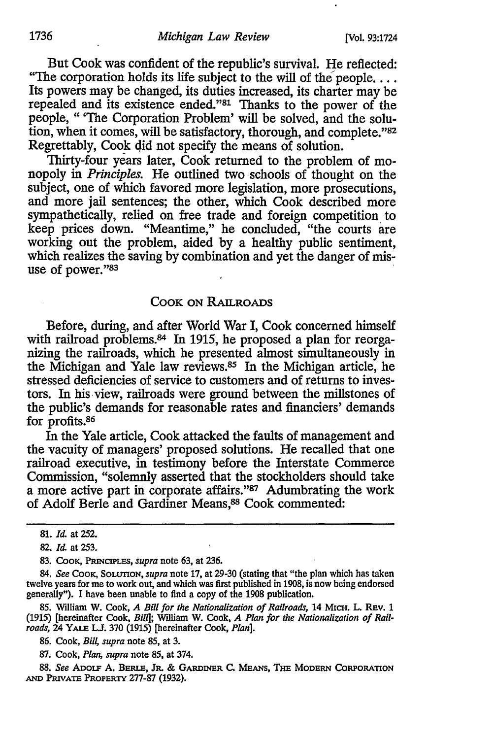But Cook was confident of the republic's survival. He reflected: "The corporation holds its life subject to the will of the people... Its powers may be changed, its duties increased, its charter may be repealed and its existence ended."81 Thanks to the power of the people, " 'The Corporation Problem' will be solved, and the solution, when it comes, will be satisfactory, thorough, and complete."82 Regrettably, Cook did not specify the means of solution.

Thirty-four years later, Cook returned to the problem of monopoly in *Principles.* He outlined two schools of thought on the subject, one of which favored more legislation, more prosecutions, and more jail sentences; the other, which Cook described more sympathetically, relied on free trade and foreign competition to keep prices down. "Meantime," he concluded, "the courts are working out the problem, aided by a healthy public sentiment, which realizes the saving by combination and yet the danger of misuse of power."83

#### COOK ON RAILROADS

Before, during, and after World War I, Cook concerned himself with railroad problems.<sup>84</sup> In 1915, he proposed a plan for reorganizing the railroads, which he presented almost simultaneously in the Michigan and Yale law reviews.85 In the Michigan article, he stressed deficiencies of service to customers and of returns to investors. In his view, railroads were ground between the millstones of the public's demands for reasonable rates and financiers' demands for profits.86

In the Yale article, Cook attacked the faults of management and the vacuity of managers' proposed solutions. He recalled that one railroad executive, in testimony before the Interstate Commerce Commission, "solemnly asserted that the stockholders should take a more active part in corporate affairs."87 Adumbrating the work of Adolf Berle and Gardiner Means,<sup>88</sup> Cook commented:

85. Wtlliam W. Cook, *A Bill for* the *Nationalization of Railroads,* 14 MICH. L. REv. 1 (1915) [hereinafter Cook, *Bill*]; William W. Cook, *A Plan for the Nationalization of Railroads,* 24 YALE LJ. 370 (1915) [hereinafter Cook, *Plan].* 

86. Cook, *Bill*, *supra* note 85, at 3.

87. Cook, *Plan, supra* note 85, at 374.

88. *See* ADOLF A. BERLE, JR. & GARDINER c. MEANS, THE MODERN CORPORATION AND PruvATE PROPERTY 277-87 (1932).

<sup>81.</sup> *Id.* at 252.

<sup>82.</sup> *Id.* at 253.

<sup>83.</sup> CooK, PRINCIPLES, *supra* note 63, at 236.

<sup>84.</sup> *See* CooK, SoLunoN, *supra* note 17, at 29-30 (stating that "the plan which has taken twelve years for me to work out, and which was first published in 1908, is now being endorsed generally"). I have been unable to find a copy of the 1908 publication.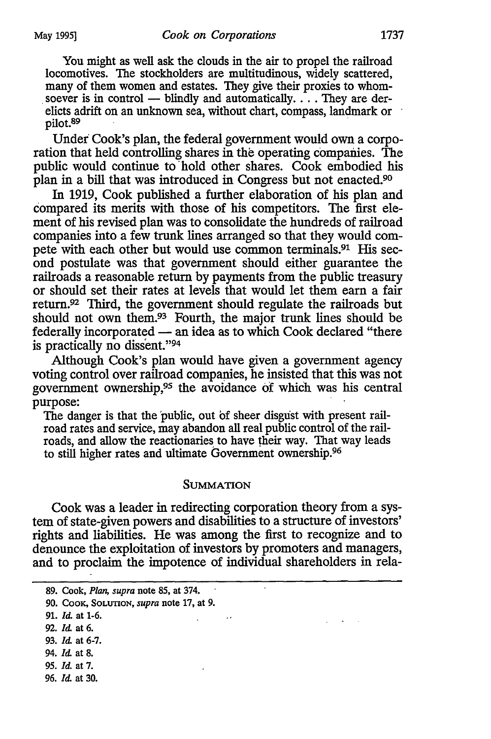You might as well ask the clouds in the air to propel the railroad locomotives. The stockholders are multitudinous, widely scattered, many of them women and estates. They give their proxies to whom-soever is in control — blindly and automatically.  $\dots$  They are derelicts adrift on an unknown sea, without chart, compass, landmark or pilot.<sup>89</sup>

Under Cook's plan, the federal government would own a corporation that held controlling shares in the operating compames. The public would continue to hold other shares. Cook embodied his plan in a bill that was introduced in Congress but not enacted.9°

In 1919, Cook published a further elaboration of his plan and compared its merits with those of his competitors. The first element of his revised plan was to consolidate the hundreds of railroad companies into a few trunk lines arranged so that they would compete with each other but would use common terminals.91 His second postulate was that government should either guarantee the railroads a reasonable return by payments from the public treasury or should set their rates at levels that would let them earn a fair retum.92 Third, the government should regulate the railroads but should not own them.<sup>93</sup> Fourth, the major trunk lines should be federally incorporated — an idea as to which Cook declared "there is practically no dissent. "94

Although Cook's plan would have given a government agency voting control over railroad companies, he insisted that this was not government ownership,95 the avoidance of which was his central purpose:

The danger is that the 'public, out bf sheer disgust with present railroad rates and service, may abandon all real public control of the railroads, and allow the reactionaries to have their way. That way leads to still higher rates and ultimate Government ownership.96

#### SUMMATION

Cook was a leader in redirecting corporation theory from a system of state-given powers and disabilities to a structure of investors' rights and liabilities. He was among the first to recognize and to denounce the exploitation of investors by promoters and managers, and to proclaim the impotence of individual shareholders in rela-

 $\cdot$ 

- 91. *Id.* at 1-6.
- 92. *Id.* at 6.
- 93. *Id.* at 6-7.
- 94. *Id.* at 8.
- 95. *Id.* at 7.
- 96. *Id.* at 30.

<sup>89.</sup> Cook, *Plan, supra* note 85, at 374.

<sup>90.</sup> CooK, SOLUTION, *supra* note 17, at 9.